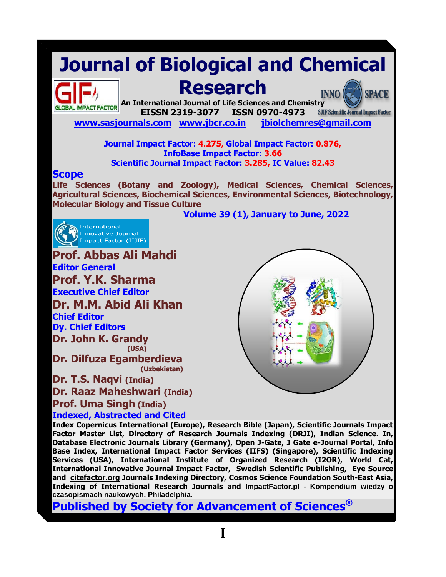# **Journal of Biological and Chemical**



## **Research**

**An International Journal of Life Sciences and Chemistry EISSN 2319-3077 ISSN 0970-4973 SJIF Scientific Journal Impact Factor** 

**[www.sasjournals.com](http://www.sasjournals.com/) [www.jbcr.co.in](http://www.jbcr.co.in/) [jbiolchemres@gmail.com](mailto:jbiolchemres@gmail.com)** 

#### **Journal Impact Factor: 4.275, Global Impact Factor: 0.876, InfoBase Impact Factor: 3.66 Scientific Journal Impact Factor: 3.285, IC Value: 82.43**

#### **Scope**

**Life Sciences (Botany and Zoology), Medical Sciences, Chemical Sciences, Agricultural Sciences, Biochemical Sciences, Environmental Sciences, Biotechnology, Molecular Biology and Tissue Culture**

**Volume 39 (1), January to June, 2022**



**Prof. Abbas Ali Mahdi Editor General Prof. Y.K. Sharma Executive Chief Editor Dr. M.M. Abid Ali Khan Chief Editor Dy. Chief Editors Dr. John K. Grandy (USA) Dr. Dilfuza Egamberdieva (Uzbekistan)**

**Dr. T.S. Naqvi (India) Dr. Raaz Maheshwari (India) Prof. Uma Singh (India)**



**INNO** 

**SPACE** 

**Indexed, Abstracted and Cited**

**Index Copernicus International (Europe), Research Bible (Japan), Scientific Journals Impact Factor Master List, Directory of Research Journals Indexing (DRJI), Indian Science. In, Database Electronic Journals Library (Germany), Open J-Gate, J Gate e-Journal Portal, Info Base Index, International Impact Factor Services (IIFS) (Singapore), Scientific Indexing Services (USA), International Institute of Organized Research (I2OR), World Cat, International Innovative Journal Impact Factor, Swedish Scientific Publishing, Eye Source and [citefactor.org](http://citefactor.org/) Journals Indexing Directory, Cosmos Science Foundation South-East Asia, Indexing of International Research Journals and ImpactFactor.pl - Kompendium wiedzy o czasopismach naukowych, Philadelphia.**

**Published by Society for Advancement of Sciences®**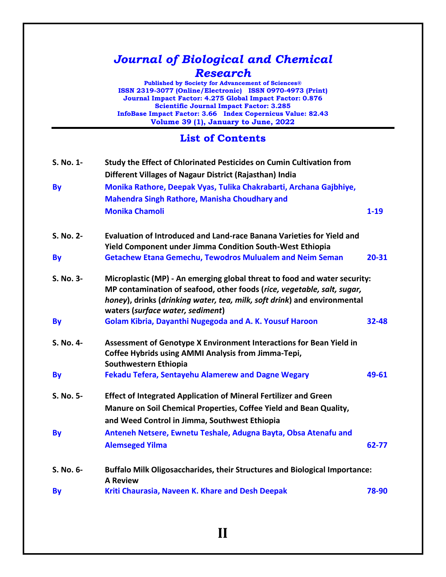### *Journal of Biological and Chemical Research*

**Published by Society for Advancement of Sciences® ISSN 2319-3077 (Online/Electronic) ISSN 0970-4973 (Print) Journal Impact Factor: 4.275 Global Impact Factor: 0.876 Scientific Journal Impact Factor: 3.285 InfoBase Impact Factor: 3.66 Index Copernicus Value: 82.43 Volume 39 (1), January to June, 2022**

#### **List of Contents**

| S. No. 1- | Study the Effect of Chlorinated Pesticides on Cumin Cultivation from<br>Different Villages of Nagaur District (Rajasthan) India                                                                                                                                      |           |
|-----------|----------------------------------------------------------------------------------------------------------------------------------------------------------------------------------------------------------------------------------------------------------------------|-----------|
| <b>By</b> | Monika Rathore, Deepak Vyas, Tulika Chakrabarti, Archana Gajbhiye,                                                                                                                                                                                                   |           |
|           | <b>Mahendra Singh Rathore, Manisha Choudhary and</b>                                                                                                                                                                                                                 |           |
|           | <b>Monika Chamoli</b>                                                                                                                                                                                                                                                | $1 - 19$  |
| S. No. 2- | Evaluation of Introduced and Land-race Banana Varieties for Yield and<br><b>Yield Component under Jimma Condition South-West Ethiopia</b>                                                                                                                            |           |
| <b>By</b> | <b>Getachew Etana Gemechu, Tewodros Mulualem and Neim Seman</b>                                                                                                                                                                                                      | $20 - 31$ |
| S. No. 3- | Microplastic (MP) - An emerging global threat to food and water security:<br>MP contamination of seafood, other foods (rice, vegetable, salt, sugar,<br>honey), drinks (drinking water, tea, milk, soft drink) and environmental<br>waters (surface water, sediment) |           |
| <b>By</b> | Golam Kibria, Dayanthi Nugegoda and A. K. Yousuf Haroon                                                                                                                                                                                                              | $32 - 48$ |
| S. No. 4- | Assessment of Genotype X Environment Interactions for Bean Yield in<br><b>Coffee Hybrids using AMMI Analysis from Jimma-Tepi,</b><br>Southwestern Ethiopia                                                                                                           |           |
| <b>By</b> | <b>Fekadu Tefera, Sentayehu Alamerew and Dagne Wegary</b>                                                                                                                                                                                                            | 49-61     |
| S. No. 5- | <b>Effect of Integrated Application of Mineral Fertilizer and Green</b><br>Manure on Soil Chemical Properties, Coffee Yield and Bean Quality,<br>and Weed Control in Jimma, Southwest Ethiopia                                                                       |           |
| <b>By</b> | Anteneh Netsere, Ewnetu Teshale, Adugna Bayta, Obsa Atenafu and<br><b>Alemseged Yilma</b>                                                                                                                                                                            | $62 - 77$ |
| S. No. 6- | <b>Buffalo Milk Oligosaccharides, their Structures and Biological Importance:</b><br><b>A Review</b>                                                                                                                                                                 |           |
| <b>By</b> | Kriti Chaurasia, Naveen K. Khare and Desh Deepak                                                                                                                                                                                                                     | 78-90     |